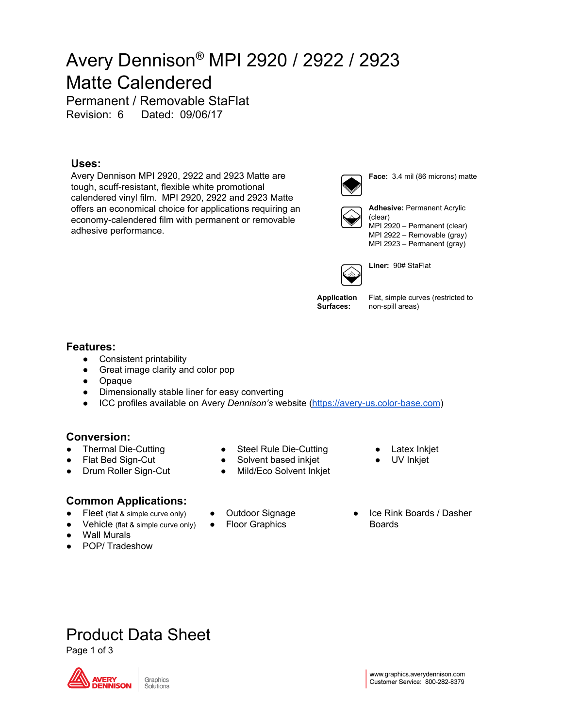## Avery Dennison ® MPI 2920 / 2922 / 2923 Matte Calendered

Permanent / Removable StaFlat Revision: 6 Dated: 09/06/17

### **Uses:**

Avery Dennison MPI 2920, 2922 and 2923 Matte are tough, scuff-resistant, flexible white promotional calendered vinyl film. MPI 2920, 2922 and 2923 Matte offers an economical choice for applications requiring an economy-calendered film with permanent or removable adhesive performance.



**Face:** 3.4 mil (86 microns) matte



**Adhesive:** Permanent Acrylic (clear) MPI 2920 – Permanent (clear) MPI 2922 – Removable (gray) MPI 2923 – Permanent (gray)



**Liner:** 90# StaFlat

**Application Surfaces:**

Flat, simple curves (restricted to non-spill areas)

### **Features:**

- Consistent printability
- Great image clarity and color pop
- Opaque
- Dimensionally stable liner for easy converting
- ICC profiles available on Avery *Dennison's* website [\(https://avery-us.color-base.com](https://avery-us.color-base.com/))

## **Conversion:**

- **Thermal Die-Cutting**
- Flat Bed Sign-Cut
- Drum Roller Sign-Cut

### **Common Applications:**

- Fleet (flat & simple curve only)
- Vehicle (flat & simple curve only)
- Wall Murals
- POP/ Tradeshow
- Steel Rule Die-Cutting
- Solvent based inkjet
- Mild/Eco Solvent Inkjet
- Outdoor Signage
- **Floor Graphics**
- Ice Rink Boards / Dasher Boards

**Latex Inkjet** UV Inkjet

## Product Data Sheet

Page 1 of 3



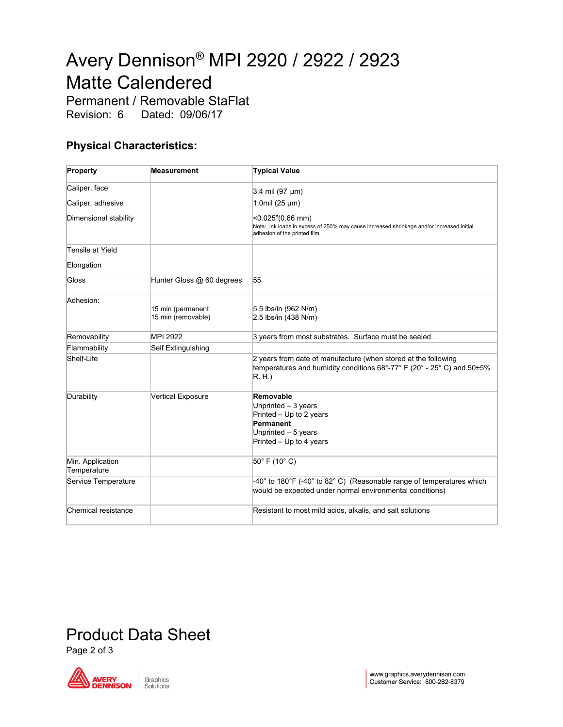# Avery Dennison ® MPI 2920 / 2922 / 2923 Matte Calendered

Permanent / Removable StaFlat Revision: 6 Dated: 09/06/17

## **Physical Characteristics:**

| Property                        | <b>Measurement</b>                      | <b>Typical Value</b>                                                                                                                             |
|---------------------------------|-----------------------------------------|--------------------------------------------------------------------------------------------------------------------------------------------------|
| Caliper, face                   |                                         | $3.4$ mil (97 µm)                                                                                                                                |
| Caliper, adhesive               |                                         | 1.0mil $(25 \mu m)$                                                                                                                              |
| Dimensional stability           |                                         | <0.025"(0.66 mm)<br>Note: Ink loads in excess of 250% may cause increased shrinkage and/or increased initial<br>adhesion of the printed film     |
| Tensile at Yield                |                                         |                                                                                                                                                  |
| Elongation                      |                                         |                                                                                                                                                  |
| Gloss                           | Hunter Gloss @ 60 degrees               | 55                                                                                                                                               |
| Adhesion:                       | 15 min (permanent<br>15 min (removable) | 5.5 lbs/in (962 N/m)<br>$2.5$ lbs/in (438 N/m)                                                                                                   |
| Removability                    | MPI 2922                                | 3 years from most substrates. Surface must be sealed.                                                                                            |
| Flammability                    | Self Extinguishing                      |                                                                                                                                                  |
| Shelf-Life                      |                                         | 2 years from date of manufacture (when stored at the following<br>temperatures and humidity conditions 68°-77° F (20° - 25° C) and 50±5%<br>R.H. |
| Durability                      | <b>Vertical Exposure</b>                | Removable<br>Unprinted - 3 years<br>Printed $-$ Up to 2 years<br>Permanent<br>Unprinted - 5 years<br>Printed - Up to 4 years                     |
| Min. Application<br>Temperature |                                         | 50° F (10° C)                                                                                                                                    |
| Service Temperature             |                                         | -40° to 180°F (-40° to 82° C) (Reasonable range of temperatures which<br>would be expected under normal environmental conditions)                |
| Chemical resistance             |                                         | Resistant to most mild acids, alkalis, and salt solutions                                                                                        |

## Product Data Sheet

Page 2 of 3